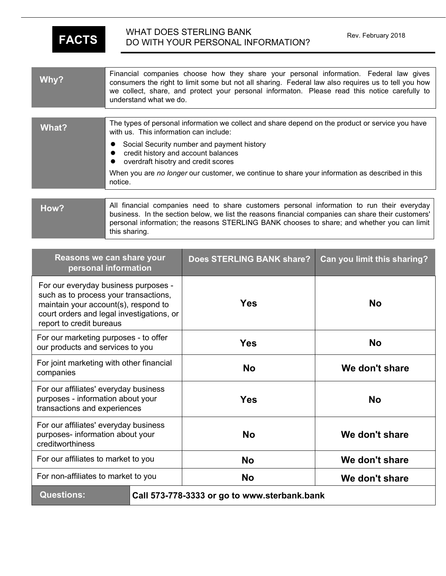this sharing.

## WHAT DOES STERLING BANK Rev. February 2018<br>
DO WITH YOUR PERSONAL INFORMATION? **WHAT DOES STERLING BANK**

| Why?  | Financial companies choose how they share your personal information. Federal law gives<br>consumers the right to limit some but not all sharing. Federal law also requires us to tell you how<br>we collect, share, and protect your personal informaton. Please read this notice carefully to<br>understand what we do. |
|-------|--------------------------------------------------------------------------------------------------------------------------------------------------------------------------------------------------------------------------------------------------------------------------------------------------------------------------|
|       |                                                                                                                                                                                                                                                                                                                          |
| What? | The types of personal information we collect and share depend on the product or service you have<br>with us. This information can include:                                                                                                                                                                               |
|       | Social Security number and payment history<br>credit history and account balances<br>overdraft hisotry and credit scores                                                                                                                                                                                                 |
|       | When you are no longer our customer, we continue to share your information as described in this<br>notice.                                                                                                                                                                                                               |
|       |                                                                                                                                                                                                                                                                                                                          |
| How?  | All financial companies need to share customers personal information to run their everyday<br>business. In the section below, we list the reasons financial companies can share their customers'                                                                                                                         |

personal information; the reasons STERLING BANK chooses to share; and whether you can limit

| Reasons we can share your<br>personal information                                                                                                                                              | <b>Does STERLING BANK share?</b> | Can you limit this sharing? |
|------------------------------------------------------------------------------------------------------------------------------------------------------------------------------------------------|----------------------------------|-----------------------------|
| For our everyday business purposes -<br>such as to process your transactions,<br>maintain your account(s), respond to<br>court orders and legal investigations, or<br>report to credit bureaus | <b>Yes</b>                       | <b>No</b>                   |
| For our marketing purposes - to offer<br>our products and services to you                                                                                                                      | <b>Yes</b>                       | <b>No</b>                   |
| For joint marketing with other financial<br>companies                                                                                                                                          | <b>No</b>                        | We don't share              |
| For our affiliates' everyday business<br>purposes - information about your<br>transactions and experiences                                                                                     | <b>Yes</b>                       | <b>No</b>                   |
| For our affiliates' everyday business<br>purposes- information about your<br>creditworthiness                                                                                                  | <b>No</b>                        | We don't share              |
| For our affiliates to market to you                                                                                                                                                            | <b>No</b>                        | We don't share              |
| For non-affiliates to market to you                                                                                                                                                            | <b>No</b>                        | We don't share              |
| <b>Questions:</b><br>Call 573-778-3333 or go to www.sterbank.bank                                                                                                                              |                                  |                             |